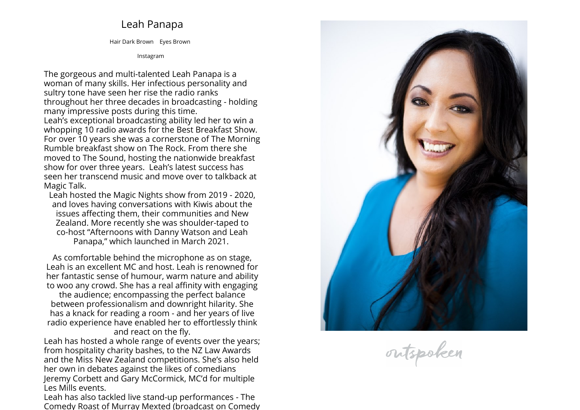## **Leah Panapa**

**Hair Dark Brown Eyes Brown**

**[Instagram](https://www.instagram.com/leahrpanapa)**

**The gorgeous and multi-talented Leah Panapa is <sup>a</sup> woman of many skills. Her infectious personality and sultry tone have seen her rise the radio ranks throughout her three decades in broadcasting - holding many impressive posts during this time. Leah's exceptional broadcasting ability led her to win <sup>a</sup> whopping <sup>10</sup> radio awards for the Best Breakfast Show. For over <sup>10</sup> years she was <sup>a</sup> cornerstone of The Morning Rumble breakfast show on The Rock. From there she moved to The Sound, hosting the nationwide breakfast show for over three years. Leah's latest success has seen her transcend music and move over to talkback at Magic Talk.** 

**Leah hosted the Magic Nights show from <sup>2019</sup> - 2020, and loves having conversations with Kiwis about the issues affecting them, their communities and New Zealand. More recently she was shoulder-taped to co-host "Afternoons with Danny Watson and Leah Panapa," which launched in March 2021.** 

**As comfortable behind the microphone as on stage, Leah is an excellent MC and host. Leah is renowned for her fantastic sense of humour, warm nature and ability to woo any crowd. She has <sup>a</sup> real affinity with engaging**

**the audience; encompassing the perfect balance between professionalism and downright hilarity. She has <sup>a</sup> knack for reading <sup>a</sup> room - and her years of live radio experience have enabled her to effortlessly think and react on the fly.**

**Leah has hosted <sup>a</sup> whole range of events over the years; from hospitality charity bashes, to the NZ Law Awards and the Miss New Zealand competitions. She's also held her own in debates against the likes of comedians Jeremy Corbett and Gary McCormick, MC'd for multiple Les Mills events.** 

**Leah has also tackled live stand-up performances - The Comedy Roast of Murray Mexted (broadcast on Comedy**



outspoken